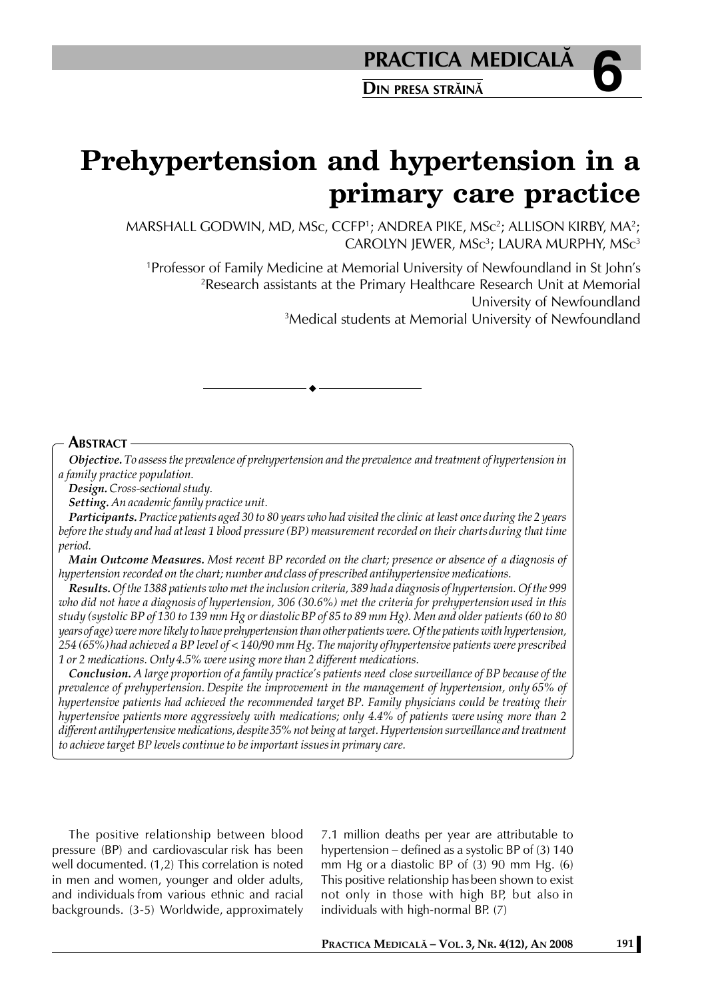**6 PRACTICA MEDICALÅ**

**DIN PRESA STRÅINÅ**

# **Prehypertension and hypertension in a primary care practice**

marshall Godwin, md, ms $\mathrm{c},$  CCFP1; andrea pike, ms $\mathrm{c}^{\mathrm{2}}$ ; allison kirby, ma $^{\mathrm{2}}$ ;  $CAROLYN$  JEWER, MS $c^3$ ; LAURA MURPHY, MS $c^3$ 

 Professor of Family Medicine at Memorial University of Newfoundland in St John's Research assistants at the Primary Healthcare Research Unit at Memorial University of Newfoundland Medical students at Memorial University of Newfoundland

#### **ABSTRACT**

*Objective. To assess the prevalence of prehypertension and the prevalence and treatment of hypertension in a family practice population.*

*Design. Cross-sectional study.*

*Setting. An academic family practice unit.*

*Participants. Practice patients aged 30 to 80 years who had visited the clinic at least once during the 2 years before the study and had atleast 1 blood pressure (BP) measurement recorded on their chartsduring that time period.*

*Main Outcome Measures. Most recent BP recorded on the chart; presence or absence of a diagnosis of hypertension recorded on the chart; number andclass of prescribed antihypertensive medications.*

*Results. Of the 1388 patients who met the inclusion criteria, 389 hada diagnosis of hypertension. Of the 999* who did not have a diagnosis of hypertension, 306 (30.6%) met the criteria for prehypertension used in this *study (systolic BP of 130 to 139 mm Hg or diastolicBP of 85 to 89 mm Hg). Men and older patients (60 to 80 yearsof age) were more likely to have prehypertension than otherpatients were. Of the patients with hypertension, 254 (65%)had achieved a BP level of < 140/90 mm Hg. The majority ofhypertensive patients were prescribed 1 or 2 medications. Only4.5% were using more than 2 different medications.*

*Conclusion. A large proportion of a family practice's patients need close surveillance of BP because of the prevalence of prehypertension. Despite the improvement in the management of hypertension, only 65% of hypertensive patients had achieved the recommended target BP. Family physicians could be treating their hypertensive patients more aggressively with medications; only 4.4% of patients were using more than 2 different antihypertensive medications, despite35% not being at target. Hypertension surveillance and treatment to achieve target BP levels continue to be important issuesin primary care.*

The positive relationship between blood pressure (BP) and cardiovascular risk has been well documented. (1,2) This correlation is noted in men and women, younger and older adults, and individuals from various ethnic and racial backgrounds. (3-5) Worldwide, approximately 7.1 million deaths per year are attributable to hypertension – defined as a systolic BP of (3) 140 mm Hg or a diastolic BP of (3) 90 mm Hg. (6) This positive relationship hasbeen shown to exist not only in those with high BP, but also in individuals with high-normal BP. (7)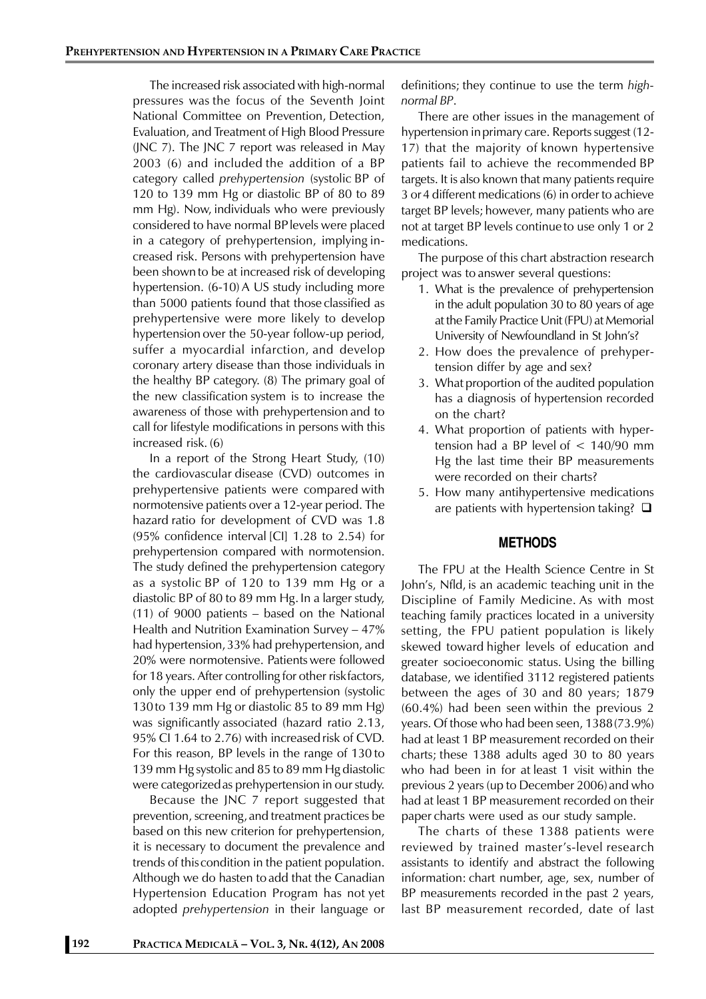The increased risk associated with high-normal pressures was the focus of the Seventh Joint National Committee on Prevention, Detection, Evaluation, and Treatment of High Blood Pressure (JNC 7). The JNC 7 report was released in May 2003 (6) and included the addition of a BP category called *prehypertension* (systolic BP of 120 to 139 mm Hg or diastolic BP of 80 to 89 mm Hg). Now, individuals who were previously considered to have normal BPlevels were placed in a category of prehypertension, implying increased risk. Persons with prehypertension have been shown to be at increased risk of developing hypertension. (6-10) A US study including more than 5000 patients found that those classified as prehypertensive were more likely to develop hypertension over the 50-year follow-up period, suffer a myocardial infarction, and develop coronary artery disease than those individuals in the healthy BP category. (8) The primary goal of the new classification system is to increase the awareness of those with prehypertension and to call for lifestyle modifications in persons with this increased risk. (6)

In a report of the Strong Heart Study, (10) the cardiovascular disease (CVD) outcomes in prehypertensive patients were compared with normotensive patients over a 12-year period. The hazard ratio for development of CVD was 1.8 (95% confidence interval [CI] 1.28 to 2.54) for prehypertension compared with normotension. The study defined the prehypertension category as a systolic BP of 120 to 139 mm Hg or a diastolic BP of 80 to 89 mm Hg.In a larger study, (11) of 9000 patients – based on the National Health and Nutrition Examination Survey – 47% had hypertension,33% had prehypertension, and 20% were normotensive. Patients were followed for 18 years. After controlling for other riskfactors, only the upper end of prehypertension (systolic 130to 139 mm Hg or diastolic 85 to 89 mm Hg) was significantly associated (hazard ratio 2.13, 95% CI 1.64 to 2.76) with increasedrisk of CVD. For this reason, BP levels in the range of 130 to 139 mm Hg systolic and 85 to 89 mm Hg diastolic were categorizedas prehypertension in our study.

Because the JNC 7 report suggested that prevention, screening, and treatment practices be based on this new criterion for prehypertension, it is necessary to document the prevalence and trends of this condition in the patient population. Although we do hasten to add that the Canadian Hypertension Education Program has not yet adopted *prehypertension* in their language or

definitions; they continue to use the term *highnormal BP*.

There are other issues in the management of hypertension inprimary care. Reports suggest (12- 17) that the majority of known hypertensive patients fail to achieve the recommended BP targets. It is also known that many patients require 3 or4 different medications (6) in order to achieve target BP levels; however, many patients who are not at target BP levels continue to use only 1 or 2 medications.

The purpose of this chart abstraction research project was to answer several questions:

- 1. What is the prevalence of prehypertension in the adult population 30 to 80 years of age at the Family Practice Unit (FPU) at Memorial University of Newfoundland in St John's?
- 2. How does the prevalence of prehypertension differ by age and sex?
- 3. What proportion of the audited population has a diagnosis of hypertension recorded on the chart?
- 4. What proportion of patients with hypertension had a BP level of < 140/90 mm Hg the last time their BP measurements were recorded on their charts?
- 5. How many antihypertensive medications are patients with hypertension taking?  $\square$

### **METHODS**

The FPU at the Health Science Centre in St John's, Nfld, is an academic teaching unit in the Discipline of Family Medicine. As with most teaching family practices located in a university setting, the FPU patient population is likely skewed toward higher levels of education and greater socioeconomic status. Using the billing database, we identified 3112 registered patients between the ages of 30 and 80 years; 1879 (60.4%) had been seen within the previous 2 years. Of those who had been seen, 1388(73.9%) had at least 1 BP measurement recorded on their charts; these 1388 adults aged 30 to 80 years who had been in for at least 1 visit within the previous 2 years (up to December 2006) and who had at least 1 BP measurement recorded on their paper charts were used as our study sample.

The charts of these 1388 patients were reviewed by trained master's-level research assistants to identify and abstract the following information: chart number, age, sex, number of BP measurements recorded in the past 2 years, last BP measurement recorded, date of last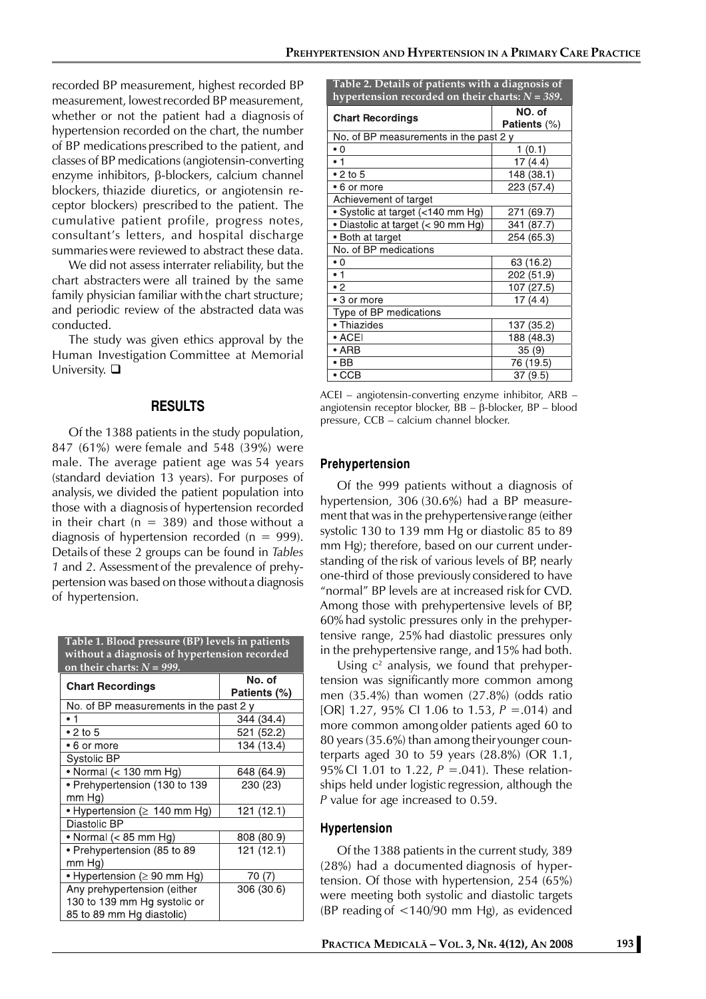recorded BP measurement, highest recorded BP measurement, lowestrecorded BP measurement, whether or not the patient had a diagnosis of hypertension recorded on the chart, the number of BP medications prescribed to the patient, and classes of BP medications (angiotensin-converting enzyme inhibitors, β-blockers, calcium channel blockers, thiazide diuretics, or angiotensin receptor blockers) prescribed to the patient. The cumulative patient profile, progress notes, consultant's letters, and hospital discharge summaries were reviewed to abstract these data.

We did not assess interrater reliability, but the chart abstracters were all trained by the same family physician familiar with the chart structure; and periodic review of the abstracted data was conducted.

The study was given ethics approval by the Human Investigation Committee at Memorial University.  $\square$ 

#### **RESULTS**

Of the 1388 patients in the study population, 847 (61%) were female and 548 (39%) were male. The average patient age was 54 years (standard deviation 13 years). For purposes of analysis, we divided the patient population into those with a diagnosis of hypertension recorded in their chart ( $n = 389$ ) and those without a diagnosis of hypertension recorded ( $n = 999$ ). Details of these 2 groups can be found in *Tables 1* and *2*. Assessment of the prevalence of prehypertension was based on those withouta diagnosis of hypertension.

| Table 1. Blood pressure (BP) levels in patients |  |
|-------------------------------------------------|--|
| without a diagnosis of hypertension recorded    |  |
| on their charts: $N = 999$ .                    |  |

| <b>Chart Recordings</b>                | No. of<br>Patients (%) |  |
|----------------------------------------|------------------------|--|
| No, of BP measurements in the past 2 y |                        |  |
| • 1                                    | 344 (34.4)             |  |
| • 2 to 5                               | 521 (52.2)             |  |
| • 6 or more                            | 134 (13.4)             |  |
| <b>Systolic BP</b>                     |                        |  |
| • Normal $(< 130$ mm Hg)               | 648 (64.9)             |  |
| • Prehypertension (130 to 139          | 230 (23)               |  |
| mm Hg)                                 |                        |  |
| • Hypertension ( $\geq 140$ mm Hg)     | 121 (12.1)             |  |
| Diastolic BP                           |                        |  |
| • Normal $(< 85$ mm Hg)                | 808 (80.9)             |  |
| • Prehypertension (85 to 89            | 121 (12.1)             |  |
| mm Hg)                                 |                        |  |
| • Hypertension ( $\geq 90$ mm Hg)      | 70 (7)                 |  |
| Any prehypertension (either            | 306 (30.6)             |  |
| 130 to 139 mm Hg systolic or           |                        |  |
| 85 to 89 mm Hg diastolic)              |                        |  |

| Table 2. Details of patients with a diagnosis of<br>hypertension recorded on their charts: $N = 389$ . |                        |  |
|--------------------------------------------------------------------------------------------------------|------------------------|--|
| <b>Chart Recordings</b>                                                                                | NO. of<br>Patients (%) |  |
| No. of BP measurements in the past 2 y                                                                 |                        |  |
| $\cdot 0$                                                                                              | 1(0.1)                 |  |
| $\bullet$ 1                                                                                            | 17 (4.4)               |  |
| $\cdot$ 2 to 5                                                                                         | 148 (38.1)             |  |
| • 6 or more                                                                                            | 223 (57.4)             |  |
| Achievement of target                                                                                  |                        |  |
| • Systolic at target (<140 mm Hg)                                                                      | 271 (69.7)             |  |
| · Diastolic at target (< 90 mm Hg)                                                                     | 341 (87.7)             |  |
| • Both at target                                                                                       | 254 (65.3)             |  |
| No. of BP medications                                                                                  |                        |  |
| $\cdot 0$                                                                                              | 63 (16.2)              |  |
| • 1                                                                                                    | 202 (51.9)             |  |
| $\bullet$ 2                                                                                            | 107 (27.5)             |  |
| • 3 or more                                                                                            | 17 (4.4)               |  |
| Type of BP medications                                                                                 |                        |  |
| • Thiazides                                                                                            | 137 (35.2)             |  |
| $\bullet$ ACEI                                                                                         | 188 (48.3)             |  |
| $\bullet$ ARB                                                                                          | 35(9)                  |  |
| $\bullet$ BB                                                                                           | 76 (19.5)              |  |
| $\bullet$ CCB                                                                                          | 37 (9.5)               |  |

ACEI – angiotensin-converting enzyme inhibitor, ARB – angiotensin receptor blocker, BB – β-blocker, BP – blood pressure, CCB – calcium channel blocker.

### **Prehypertension**

Of the 999 patients without a diagnosis of hypertension, 306 (30.6%) had a BP measurement that was in the prehypertensiverange (either systolic 130 to 139 mm Hg or diastolic 85 to 89 mm Hg); therefore, based on our current understanding of the risk of various levels of BP, nearly one-third of those previously considered to have "normal" BP levels are at increased risk for CVD. Among those with prehypertensive levels of BP, 60% had systolic pressures only in the prehypertensive range, 25% had diastolic pressures only in the prehypertensive range, and15% had both.

Using  $c^2$  analysis, we found that prehypertension was significantly more common among men (35.4%) than women (27.8%) (odds ratio [OR] 1.27, 95% CI 1.06 to 1.53, *P* =.014) and more common among older patients aged 60 to 80 years (35.6%) than among theiryounger counterparts aged 30 to 59 years (28.8%) (OR 1.1, 95% CI 1.01 to 1.22, *P* =.041). These relationships held under logistic regression, although the *P* value for age increased to 0.59.

#### **Hypertension**

Of the 1388 patients in the current study, 389 (28%) had a documented diagnosis of hypertension. Of those with hypertension, 254 (65%) were meeting both systolic and diastolic targets (BP reading of <140/90 mm Hg), as evidenced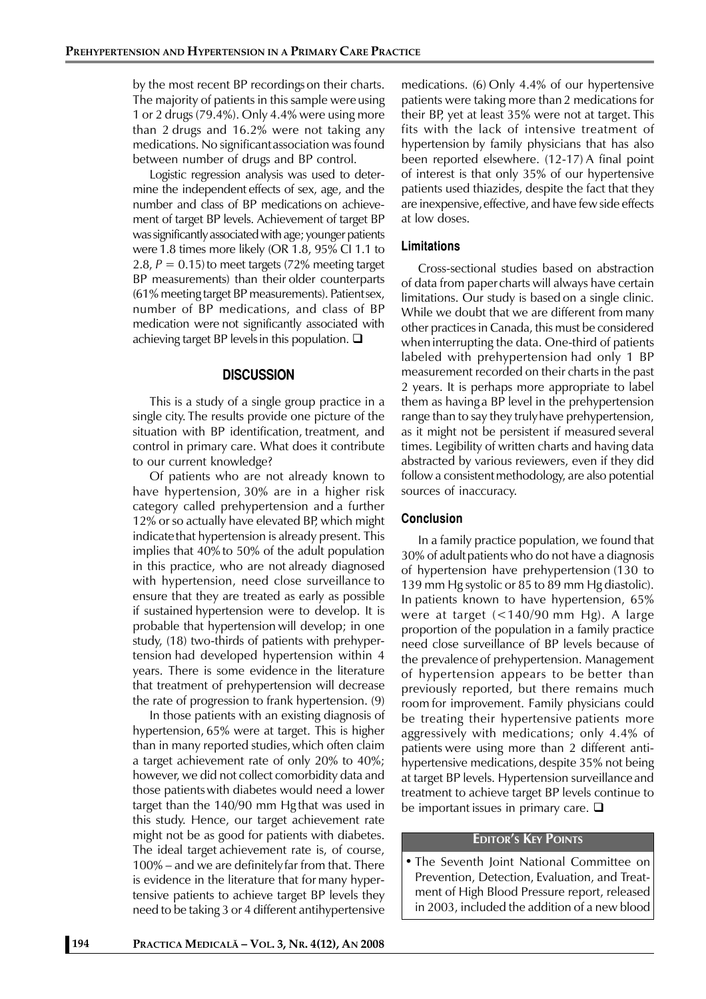by the most recent BP recordings on their charts. The majority of patients in this sample were using 1 or 2 drugs (79.4%). Only 4.4% were using more than 2 drugs and 16.2% were not taking any medications. No significantassociation was found between number of drugs and BP control.

Logistic regression analysis was used to determine the independent effects of sex, age, and the number and class of BP medications on achievement of target BP levels. Achievement of target BP was significantly associated with age; younger patients were1.8 times more likely (OR 1.8, 95% CI 1.1 to 2.8,  $P = 0.15$  to meet targets (72% meeting target BP measurements) than their older counterparts (61% meeting target BP measurements). Patientsex, number of BP medications, and class of BP medication were not significantly associated with achieving target BP levels in this population.  $\square$ 

#### **DISCUSSION**

This is a study of a single group practice in a single city. The results provide one picture of the situation with BP identification, treatment, and control in primary care. What does it contribute to our current knowledge?

Of patients who are not already known to have hypertension, 30% are in a higher risk category called prehypertension and a further 12% or so actually have elevated BP, which might indicatethat hypertension is already present. This implies that 40% to 50% of the adult population in this practice, who are not already diagnosed with hypertension, need close surveillance to ensure that they are treated as early as possible if sustained hypertension were to develop. It is probable that hypertension will develop; in one study, (18) two-thirds of patients with prehypertension had developed hypertension within 4 years. There is some evidence in the literature that treatment of prehypertension will decrease the rate of progression to frank hypertension. (9)

In those patients with an existing diagnosis of hypertension, 65% were at target. This is higher than in many reported studies,which often claim a target achievement rate of only 20% to 40%; however, we did not collect comorbidity data and those patients with diabetes would need a lower target than the 140/90 mm Hg that was used in this study. Hence, our target achievement rate might not be as good for patients with diabetes. The ideal target achievement rate is, of course, 100% – and we are definitelyfar from that. There is evidence in the literature that for many hypertensive patients to achieve target BP levels they need to be taking 3 or 4 different antihypertensive

medications. (6) Only 4.4% of our hypertensive patients were taking more than2 medications for their BP, yet at least 35% were not at target. This fits with the lack of intensive treatment of hypertension by family physicians that has also been reported elsewhere. (12-17) A final point of interest is that only 35% of our hypertensive patients used thiazides, despite the fact that they are inexpensive, effective, and have few side effects at low doses.

#### **Limitations**

Cross-sectional studies based on abstraction of data from paper charts will always have certain limitations. Our study is based on a single clinic. While we doubt that we are different from many other practices in Canada, this must be considered when interrupting the data. One-third of patients labeled with prehypertension had only 1 BP measurement recorded on their charts in the past 2 years. It is perhaps more appropriate to label them as having a BP level in the prehypertension range than to say they trulyhave prehypertension, as it might not be persistent if measured several times. Legibility of written charts and having data abstracted by various reviewers, even if they did follow a consistent methodology, are also potential sources of inaccuracy.

#### **Conclusion**

In a family practice population, we found that 30% of adultpatients who do not have a diagnosis of hypertension have prehypertension (130 to 139 mm Hg systolic or 85 to 89 mm Hg diastolic). In patients known to have hypertension, 65% were at target (<140/90 mm Hg). A large proportion of the population in a family practice need close surveillance of BP levels because of the prevalence of prehypertension. Management of hypertension appears to be better than previously reported, but there remains much room for improvement. Family physicians could be treating their hypertensive patients more aggressively with medications; only 4.4% of patients were using more than 2 different antihypertensive medications,despite 35% not being at target BP levels. Hypertension surveillance and treatment to achieve target BP levels continue to be important issues in primary care.  $\square$ 

#### **EDITOR'S KEY POINTS**

• The Seventh Joint National Committee on Prevention, Detection, Evaluation, and Treatment of High Blood Pressure report, released in 2003, included the addition of a new blood